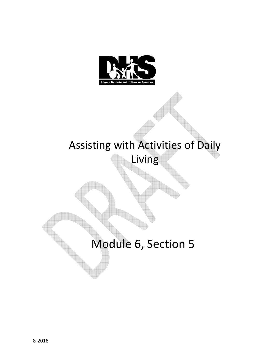

# Assisting with Activities of Daily

Living

Module 6, Section 5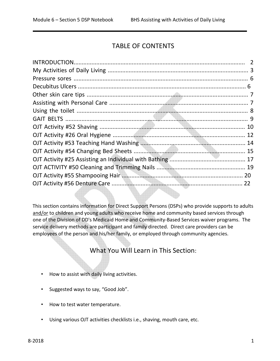# TABLE OF CONTENTS

This section contains information for Direct Support Persons (DSPs) who provide supports to adults and/or to children and young adults who receive home and community based services through one of the Division of DD's Medicaid Home and Community-Based Services waiver programs. The service delivery methods are participant and family directed. Direct care providers can be employees of the person and his/her family, or employed through community agencies.

What You Will Learn in This Section:

- How to assist with daily living activities.
- Suggested ways to say, "Good Job".
- How to test water temperature.
- Using various OJT activities checklists i.e., shaving, mouth care, etc.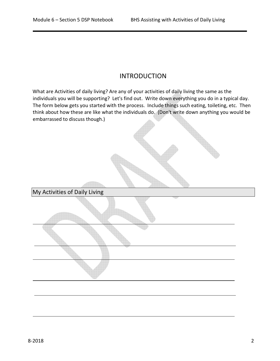### INTRODUCTION

What are Activities of daily living? Are any of your activities of daily living the same as the individuals you will be supporting? Let's find out. Write down everything you do in a typical day. The form below gets you started with the process. Include things such eating, toileting, etc. Then think about how these are like what the individuals do. (Don't write down anything you would be embarrassed to discuss though.)

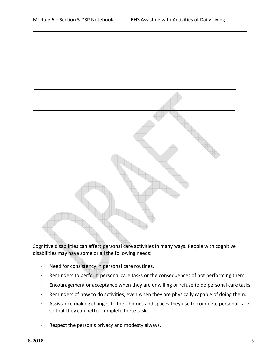

Cognitive disabilities can affect personal care activities in many ways. People with cognitive disabilities may have some or all the following needs:

- Need for consistency in personal care routines.
- Reminders to perform personal care tasks or the consequences of not performing them.
- Encouragement or acceptance when they are unwilling or refuse to do personal care tasks.
- Reminders of how to do activities, even when they are physically capable of doing them.
- Assistance making changes to their homes and spaces they use to complete personal care, so that they can better complete these tasks.
- Respect the person's privacy and modesty always.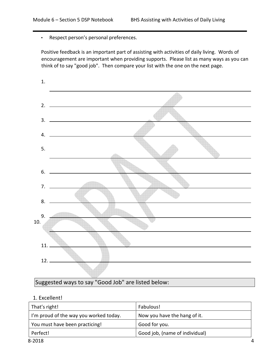• Respect person's personal preferences.

Positive feedback is an important part of assisting with activities of daily living. Words of encouragement are important when providing supports. Please list as many ways as you can think of to say "good job". Then compare your list with the one on the next page.



Suggested ways to say "Good Job" are listed below:

#### 1. Excellent!

| That's right!                          | Fabulous!                      |
|----------------------------------------|--------------------------------|
| I'm proud of the way you worked today. | Now you have the hang of it.   |
| You must have been practicing!         | Good for you.                  |
| Perfect!                               | Good job, (name of individual) |
| 8-2018                                 |                                |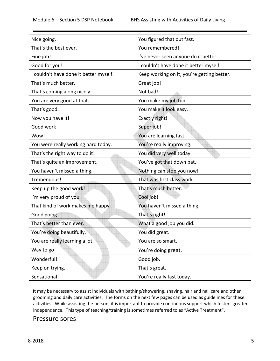| Nice going.                            | You figured that out fast.                 |
|----------------------------------------|--------------------------------------------|
| That's the best ever.                  | You remembered!                            |
| Fine job!                              | I've never seen anyone do it better.       |
| Good for you!                          | I couldn't have done it better myself.     |
| I couldn't have done it better myself. | Keep working on it, you're getting better. |
| That's much better.                    | Great job!                                 |
| That's coming along nicely.            | Not bad!                                   |
| You are very good at that.             | You make my job fun.                       |
| That's good.                           | You make it look easy.                     |
| Now you have it!                       | Exactly right!                             |
| Good work!                             | Super job!                                 |
| Wow!                                   | You are learning fast.                     |
| You were really working hard today.    | You're really improving.                   |
| That's the right way to do it!         | You did very well today.                   |
| That's quite an improvement.           | You've got that down pat.                  |
| You haven't missed a thing.            | Nothing can stop you now!                  |
| Tremendous!                            | That was first class work.                 |
| Keep up the good work!                 | That's much better.                        |
| I'm very proud of you.                 | Cool job!                                  |
| That kind of work makes me happy.      | You haven't missed a thing.                |
| Good going!                            | That's right!                              |
| That's better than ever.               | What a good job you did.                   |
| You're doing beautifully.              | You did great.                             |
| You are really learning a lot.         | You are so smart.                          |
| Way to go!                             | You're doing great.                        |
| Wonderful!                             | Good job.                                  |
| Keep on trying.                        | That's great.                              |
| Sensational!                           | You're really fast today.                  |

It may be necessary to assist individuals with bathing/showering, shaving, hair and nail care and other grooming and daily care activities. The forms on the next few pages can be used as guidelines for these activities. While assisting the person, it is important to provide continuous support which fosters greater independence. This type of teaching/training is sometimes referred to as "Active Treatment".

#### Pressure sores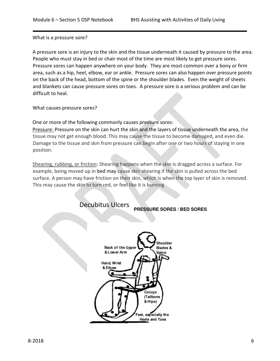What is a pressure sore?

A pressure sore is an injury to the skin and the tissue underneath it caused by pressure to the area. People who must stay in bed or chair most of the time are most likely to get pressure sores. Pressure sores can happen anywhere on your body. They are most common over a bony or firm area, such as a hip, heel, elbow, ear or ankle. Pressure sores can also happen over pressure points on the back of the head, bottom of the spine or the shoulder blades. Even the weight of sheets and blankets can cause pressure sores on toes. A pressure sore is a serious problem and can be difficult to heal.

What causes pressure sores?

One or more of the following commonly causes pressure sores: Pressure: Pressure on the skin can hurt the skin and the layers of tissue underneath the area, the tissue may not get enough blood. This may cause the tissue to become damaged, and even die. Damage to the tissue and skin from pressure can begin after one or two hours of staying in one position.

Shearing, rubbing, or friction: Shearing happens when the skin is dragged across a surface. For example, being moved up in bed may cause skin shearing if the skin is pulled across the bed surface. A person may have friction on their skin, which is when the top layer of skin is removed. This may cause the skin to turn red, or feel like it is burning



Decubitus Ulcers **PRESSURE SORES / BED SORES**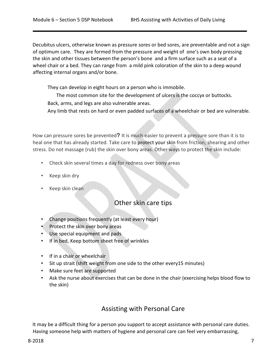Decubitus ulcers, otherwise known as pressure sores or bed sores, are preventable and not a sign of optimum care. They are formed from the pressure and weight of one's own body pressing the skin and other tissues between the person's bone and a firm surface such as a seat of a wheel chair or a bed. They can range from a mild pink coloration of the skin to a deep wound affecting internal organs and/or bone.

They can develop in eight hours on a person who is immobile.

The most common site for the development of ulcers is the coccyx or buttocks. Back, arms, and legs are also vulnerable areas.

Any limb that rests on hard or even padded surfaces of a wheelchair or bed are vulnerable.

How can pressure sores be prevented**?** It is much easier to prevent a pressure sore than it is to heal one that has already started. Take care to protect your skin from friction, shearing and other stress. Do not massage (rub) the skin over bony areas. Other ways to protect the skin include:

- Check skin several times a day for redness over bony areas
- Keep skin dry
- Keep skin clean

#### Other skin care tips

- Change positions frequently (at least every hour)
- Protect the skin over bony areas
- Use special equipment and pads
- If in bed, Keep bottom sheet free of wrinkles
- If in a chair or wheelchair
- Sit up strait (shift weight from one side to the other every15 minutes)
- Make sure feet are supported
- Ask the nurse about exercises that can be done in the chair (exercising helps blood flow to the skin)

# Assisting with Personal Care

It may be a difficult thing for a person you support to accept assistance with personal care duties. Having someone help with matters of hygiene and personal care can feel very embarrassing,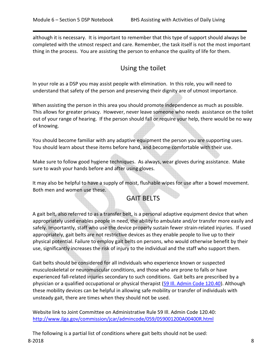although it is necessary. It is important to remember that this type of support should always be completed with the utmost respect and care. Remember, the task itself is not the most important thing in the process. You are assisting the person to enhance the quality of life for them.

# Using the toilet

In your role as a DSP you may assist people with elimination. In this role, you will need to understand that safety of the person and preserving their dignity are of utmost importance.

When assisting the person in this area you should promote independence as much as possible. This allows for greater privacy. However, never leave someone who needs assistance on the toilet out of your range of hearing. If the person should fall or require your help, there would be no way of knowing.

You should become familiar with any adaptive equipment the person you are supporting uses. You should learn about these items before hand, and become comfortable with their use.

Make sure to follow good hygiene techniques. As always, wear gloves during assistance. Make sure to wash your hands before and after using gloves.

It may also be helpful to have a supply of moist, flushable wipes for use after a bowel movement. Both men and women use these.

# GAIT BELTS

A gait belt, also referred to as a transfer belt, is a personal adaptive equipment device that when appropriately used enables people in need, the ability to ambulate and/or transfer more easily and safely. Importantly, staff who use the device properly sustain fewer strain-related injuries. If used appropriately, gait belts are not restrictive devices as they enable people to live up to their physical potential. Failure to employ gait belts on persons, who would otherwise benefit by their use, significantly increases the risk of injury to the individual and the staff who support them.

Gait belts should be considered for all individuals who experience known or suspected musculoskeletal or neuromuscular conditions, and those who are prone to falls or have experienced fall-related injuries secondary to such conditions. Gait belts are prescribed by a physician or a qualified occupational or physical therapist (59 Ill. Admin Code 120.40). Although these mobility devices can be helpful in allowing safe mobility or transfer of individuals with unsteady gait, there are times when they should not be used.

Website link to Joint Committee on Administrative Rule 59 Ill. Admin Code 120.40: http://www.ilga.gov/commission/jcar/admincode/059/059001200A00400R.html

8-2018 8 The following is a partial list of conditions where gait belts should not be used: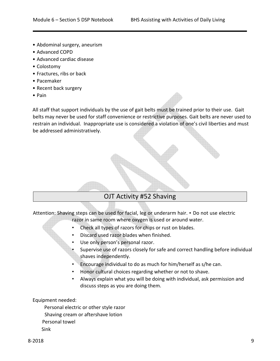- Abdominal surgery, aneurism
- Advanced COPD
- Advanced cardiac disease
- Colostomy
- Fractures, ribs or back
- Pacemaker
- Recent back surgery
- Pain

All staff that support individuals by the use of gait belts must be trained prior to their use. Gait belts may never be used for staff convenience or restrictive purposes. Gait belts are never used to restrain an individual. Inappropriate use is considered a violation of one's civil liberties and must be addressed administratively.

# OJT Activity #52 Shaving

Attention: Shaving steps can be used for facial, leg or underarm hair. • Do not use electric

razor in same room where oxygen is used or around water.

- Check all types of razors for chips or rust on blades.
- Discard used razor blades when finished.
- Use only person's personal razor.
- Supervise use of razors closely for safe and correct handling before individual shaves independently.
- Encourage individual to do as much for him/herself as s/he can.
- Honor cultural choices regarding whether or not to shave.
- Always explain what you will be doing with individual, ask permission and discuss steps as you are doing them.

Equipment needed:

 Personal electric or other style razor Shaving cream or aftershave lotion Personal towel Sink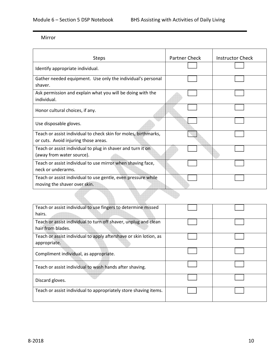#### Mirror

| <b>Steps</b>                                                                                            | <b>Partner Check</b> | <b>Instructor Check</b> |
|---------------------------------------------------------------------------------------------------------|----------------------|-------------------------|
| Identify appropriate individual.                                                                        |                      |                         |
| Gather needed equipment. Use only the individual's personal<br>shaver.                                  |                      |                         |
| Ask permission and explain what you will be doing with the<br>individual.                               |                      |                         |
| Honor cultural choices, if any.                                                                         |                      |                         |
| Use disposable gloves.                                                                                  |                      |                         |
| Teach or assist individual to check skin for moles, birthmarks,<br>or cuts. Avoid injuring those areas. |                      |                         |
| Teach or assist individual to plug in shaver and turn it on<br>(away from water source).                |                      |                         |
| Teach or assist individual to use mirror when shaving face,<br>neck or underarms.                       |                      |                         |
| Teach or assist individual to use gentle, even pressure while<br>moving the shaver over skin.           |                      |                         |
|                                                                                                         |                      |                         |

| Teach or assist individual to use fingers to determine missed     |  |
|-------------------------------------------------------------------|--|
| hairs.                                                            |  |
| Teach or assist individual to turn off shaver, unplug and clean   |  |
| hair from blades.                                                 |  |
| Teach or assist individual to apply aftershave or skin lotion, as |  |
| appropriate.                                                      |  |
| Compliment individual, as appropriate.                            |  |
|                                                                   |  |
| Teach or assist individual to wash hands after shaving.           |  |
|                                                                   |  |
| Discard gloves.                                                   |  |
|                                                                   |  |
| Teach or assist individual to appropriately store shaving items.  |  |
|                                                                   |  |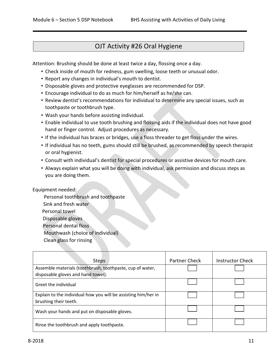## OJT Activity #26 Oral Hygiene

Attention: Brushing should be done at least twice a day, flossing once a day.

- Check inside of mouth for redness, gum swelling, loose teeth or unusual odor.
- Report any changes in individual's mouth to dentist.
- Disposable gloves and protective eyeglasses are recommended for DSP.
- Encourage individual to do as much for him/herself as he/she can.
- Review dentist's recommendations for individual to determine any special issues, such as toothpaste or toothbrush type.
- Wash your hands before assisting individual.
- Enable individual to use tooth brushing and flossing aids if the individual does not have good hand or finger control. Adjust procedures as necessary.
- If the individual has braces or bridges, use a floss threader to get floss under the wires.
- If individual has no teeth, gums should still be brushed, as recommended by speech therapist or oral hygienist.
- Consult with individual's dentist for special procedures or assistive devices for mouth care.
- Always explain what you will be doing with individual, ask permission and discuss steps as you are doing them.

#### Equipment needed:

 Personal toothbrush and toothpaste Sink and fresh water Personal towel Disposable gloves Personal dental floss Mouthwash (choice of individual) Clean glass for rinsing

| <b>Steps</b>                                                                            | <b>Partner Check</b> | Instructor Check |
|-----------------------------------------------------------------------------------------|----------------------|------------------|
| Assemble materials (toothbrush, toothpaste, cup of water,                               |                      |                  |
| disposable gloves and hand towel).                                                      |                      |                  |
| Greet the individual                                                                    |                      |                  |
| Explain to the individual how you will be assisting him/her in<br>brushing their teeth. |                      |                  |
| Wash your hands and put on disposable gloves.                                           |                      |                  |
| Rinse the toothbrush and apply toothpaste.                                              |                      |                  |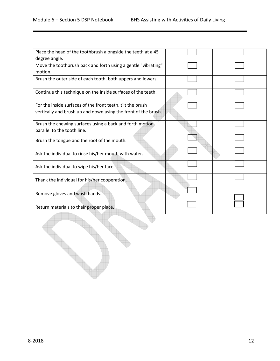| Place the head of the toothbrush alongside the teeth at a 45   |  |
|----------------------------------------------------------------|--|
| degree angle.                                                  |  |
| Move the toothbrush back and forth using a gentle "vibrating"  |  |
| motion.                                                        |  |
| Brush the outer side of each tooth, both uppers and lowers.    |  |
| Continue this technique on the inside surfaces of the teeth.   |  |
| For the inside surfaces of the front teeth, tilt the brush     |  |
| vertically and brush up and down using the front of the brush. |  |
| Brush the chewing surfaces using a back and forth motion       |  |
| parallel to the tooth line.                                    |  |
| Brush the tongue and the roof of the mouth.                    |  |
| Ask the individual to rinse his/her mouth with water.          |  |
| Ask the individual to wipe his/her face.                       |  |
| Thank the individual for his/her cooperation.                  |  |
| Remove gloves and wash hands.                                  |  |
| Return materials to their proper place.                        |  |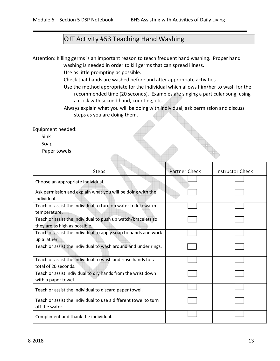## OJT Activity #53 Teaching Hand Washing

Attention: Killing germs is an important reason to teach frequent hand washing. Proper hand washing is needed in order to kill germs that can spread illness.

Use as little prompting as possible.

- Check that hands are washed before and after appropriate activities.
- Use the method appropriate for the individual which allows him/her to wash for the recommended time (20 seconds). Examples are singing a particular song, using a clock with second hand, counting, etc.
- Always explain what you will be doing with individual, ask permission and discuss steps as you are doing them.

Equipment needed:

Sink

Soap

Paper towels

| <b>Steps</b>                                                                                  | Partner Check | <b>Instructor Check</b> |
|-----------------------------------------------------------------------------------------------|---------------|-------------------------|
| Choose an appropriate individual.                                                             |               |                         |
| Ask permission and explain what you will be doing with the<br>individual.                     |               |                         |
| Teach or assist the individual to turn on water to lukewarm<br>temperature.                   |               |                         |
| Teach or assist the individual to push up watch/bracelets so<br>they are as high as possible. |               |                         |
| Teach or assist the individual to apply soap to hands and work<br>up a lather.                |               |                         |
| Teach or assist the individual to wash around and under rings.                                |               |                         |
| Teach or assist the individual to wash and rinse hands for a<br>total of 20 seconds.          |               |                         |
| Teach or assist individual to dry hands from the wrist down<br>with a paper towel.            |               |                         |
| Teach or assist the individual to discard paper towel.                                        |               |                         |
| Teach or assist the individual to use a different towel to turn<br>off the water.             |               |                         |
| Compliment and thank the individual.                                                          |               |                         |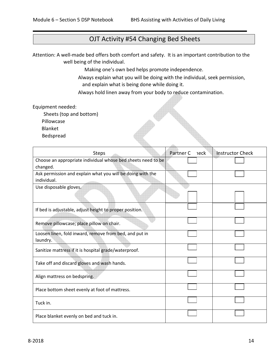## OJT Activity #54 Changing Bed Sheets

Attention: A well-made bed offers both comfort and safety. It is an important contribution to the well being of the individual.

Making one's own bed helps promote independence.

Always explain what you will be doing with the individual, seek permission, and explain what is being done while doing it.

Always hold linen away from your body to reduce contamination.

Equipment needed:

Sheets (top and bottom)

Pillowcase

Blanket

Bedspread

| <b>Steps</b>                                                       | Partner C<br>าeck | <b>Instructor Check</b> |
|--------------------------------------------------------------------|-------------------|-------------------------|
| Choose an appropriate individual whose bed sheets need to be       |                   |                         |
| changed.                                                           |                   |                         |
| Ask permission and explain what you will be doing with the         |                   |                         |
| individual.                                                        |                   |                         |
| Use disposable gloves.                                             |                   |                         |
| If bed is adjustable, adjust height to proper position.            |                   |                         |
| Remove pillowcase; place pillow on chair.                          |                   |                         |
| Loosen linen, fold inward, remove from bed, and put in<br>laundry. |                   |                         |
| Sanitize mattress if it is hospital grade/waterproof.              |                   |                         |
| Take off and discard gloves and wash hands.                        |                   |                         |
| Align mattress on bedspring.                                       |                   |                         |
| Place bottom sheet evenly at foot of mattress.                     |                   |                         |
| Tuck in.                                                           |                   |                         |
| Place blanket evenly on bed and tuck in.                           |                   |                         |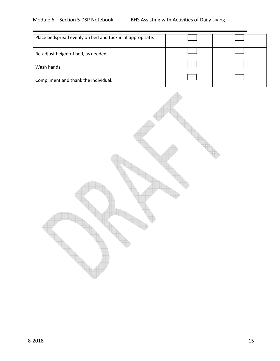| Place bedspread evenly on bed and tuck in, if appropriate. |  |
|------------------------------------------------------------|--|
| Re-adjust height of bed, as needed.                        |  |
| Wash hands.                                                |  |
| Compliment and thank the individual.                       |  |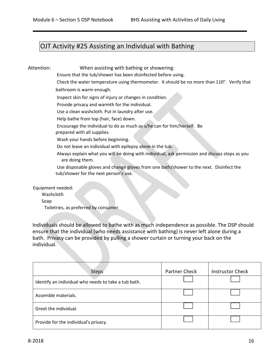## OJT Activity #25 Assisting an Individual with Bathing

Attention: When assisting with bathing or showering:

Ensure that the tub/shower has been disinfected before using.

Check the water temperature using thermometer. It should be no more than 110°. Verify that bathroom is warm enough.

Inspect skin for signs of injury or changes in condition.

Provide privacy and warmth for the individual.

Use a clean washcloth. Put in laundry after use.

Help bathe from top (hair, face) down.

Encourage the individual to do as much as s/he can for him/herself. Be

prepared with all supplies.

Wash your hands before beginning.

Do not leave an individual with epilepsy alone in the tub.

Always explain what you will be doing with individual, ask permission and discuss steps as you are doing them.

Use disposable gloves and change gloves from one bath/shower to the next. Disinfect the tub/shower for the next person's use.

Equipment needed:

Washcloth

Soap

Toiletries, as preferred by consumer

Individuals should be allowed to bathe with as much independence as possible. The DSP should ensure that the individual (who needs assistance with bathing) is never left alone during a bath. Privacy can be provided by pulling a shower curtain or turning your back on the individual.

| <b>Steps</b>                                         | Partner Check | <b>Instructor Check</b> |
|------------------------------------------------------|---------------|-------------------------|
| Identify an individual who needs to take a tub bath. |               |                         |
| Assemble materials.                                  |               |                         |
| Greet the individual.                                |               |                         |
| Provide for the individual's privacy.                |               |                         |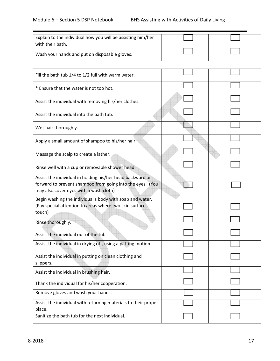| Explain to the individual how you will be assisting him/her<br>with their bath. |  |
|---------------------------------------------------------------------------------|--|
| Wash your hands and put on disposable gloves.                                   |  |

| Fill the bath tub 1/4 to 1/2 full with warm water.                                                                                                               |  |
|------------------------------------------------------------------------------------------------------------------------------------------------------------------|--|
| * Ensure that the water is not too hot.                                                                                                                          |  |
| Assist the individual with removing his/her clothes.                                                                                                             |  |
| Assist the individual into the bath tub.                                                                                                                         |  |
| Wet hair thoroughly.                                                                                                                                             |  |
| Apply a small amount of shampoo to his/her hair.                                                                                                                 |  |
| Massage the scalp to create a lather.                                                                                                                            |  |
| Rinse well with a cup or removable shower head.                                                                                                                  |  |
| Assist the individual in holding his/her head backward or<br>forward to prevent shampoo from going into the eyes. (You<br>may also cover eyes with a wash cloth) |  |
| Begin washing the individual's body with soap and water.<br>(Pay special attention to areas where two skin surfaces<br>touch)                                    |  |
| Rinse thoroughly.                                                                                                                                                |  |
| Assist the individual out of the tub.                                                                                                                            |  |
| Assist the individual in drying off, using a patting motion.                                                                                                     |  |
| Assist the individual in putting on clean clothing and<br>slippers.                                                                                              |  |
| Assist the individual in brushing hair.                                                                                                                          |  |
| Thank the individual for his/her cooperation.                                                                                                                    |  |
| Remove gloves and wash your hands.                                                                                                                               |  |
| Assist the individual with returning materials to their proper<br>place.                                                                                         |  |
| Sanitize the bath tub for the next individual.                                                                                                                   |  |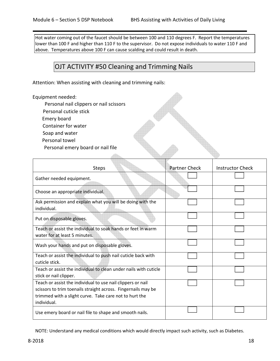Hot water coming out of the faucet should be between 100 and 110 degrees F. Report the temperatures lower than 100 F and higher than 110 F to the supervisor. Do not expose individuals to water 110 F and above. Temperatures above 100 F can cause scalding and could result in death.

## OJT ACTIVITY #50 Cleaning and Trimming Nails

Attention: When assisting with cleaning and trimming nails:

#### Equipment needed:

- Personal nail clippers or nail scissors
- Personal cuticle stick
- Emery board
- Container for water
- Soap and water
- Personal towel

Personal emery board or nail file

| <b>Steps</b>                                                                                                                                                                                          | <b>Partner Check</b> | Instructor Check |
|-------------------------------------------------------------------------------------------------------------------------------------------------------------------------------------------------------|----------------------|------------------|
| Gather needed equipment.                                                                                                                                                                              |                      |                  |
| Choose an appropriate individual.                                                                                                                                                                     |                      |                  |
| Ask permission and explain what you will be doing with the<br>individual.                                                                                                                             |                      |                  |
| Put on disposable gloves.                                                                                                                                                                             |                      |                  |
| Teach or assist the individual to soak hands or feet in warm<br>water for at least 5 minutes.                                                                                                         |                      |                  |
| Wash your hands and put on disposable gloves.                                                                                                                                                         |                      |                  |
| Teach or assist the individual to push nail cuticle back with<br>cuticle stick.                                                                                                                       |                      |                  |
| Teach or assist the individual to clean under nails with cuticle<br>stick or nail clipper.                                                                                                            |                      |                  |
| Teach or assist the individual to use nail clippers or nail<br>scissors to trim toenails straight across. Fingernails may be<br>trimmed with a slight curve. Take care not to hurt the<br>individual. |                      |                  |
| Use emery board or nail file to shape and smooth nails.                                                                                                                                               |                      |                  |

NOTE: Understand any medical conditions which would directly impact such activity, such as Diabetes.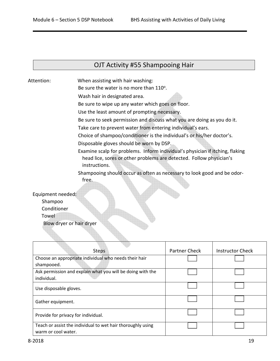#### OJT Activity #55 Shampooing Hair

Attention: When assisting with hair washing:

Be sure the water is no more than 110°.

Wash hair in designated area.

Be sure to wipe up any water which goes on floor.

Use the least amount of prompting necessary.

Be sure to seek permission and discuss what you are doing as you do it.

Take care to prevent water from entering individual's ears.

Choice of shampoo/conditioner is the individual's or his/her doctor's.

Disposable gloves should be worn by DSP.

Examine scalp for problems. Inform individual's physician if itching, flaking head lice, sores or other problems are detected. Follow physician's instructions.

Shampooing should occur as often as necessary to look good and be odor-

Equipment needed:

Shampoo

Conditioner

Towel

Blow dryer or hair dryer

free.

| <b>Steps</b>                                                                       | Partner Check | <b>Instructor Check</b> |
|------------------------------------------------------------------------------------|---------------|-------------------------|
| Choose an appropriate individual who needs their hair                              |               |                         |
| shampooed.                                                                         |               |                         |
| Ask permission and explain what you will be doing with the                         |               |                         |
| individual.                                                                        |               |                         |
| Use disposable gloves.                                                             |               |                         |
| Gather equipment.                                                                  |               |                         |
| Provide for privacy for individual.                                                |               |                         |
| Teach or assist the individual to wet hair thoroughly using<br>warm or cool water. |               |                         |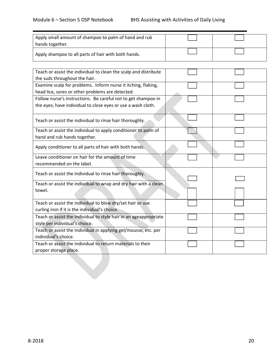| Apply small amount of shampoo to palm of hand and rub<br>hands together. |  |
|--------------------------------------------------------------------------|--|
| Apply shampoo to all parts of hair with both hands.                      |  |

| Teach or assist the individual to clean the scalp and distribute  |  |
|-------------------------------------------------------------------|--|
| the suds throughout the hair.                                     |  |
| Examine scalp for problems. Inform nurse it itching, flaking,     |  |
| head lice, sores or other problems are detected.                  |  |
| Follow nurse's instructions. Be careful not to get shampoo in     |  |
| the eyes; have individual to close eyes or use a wash cloth.      |  |
| Teach or assist the individual to rinse hair thoroughly.          |  |
| Teach or assist the individual to apply conditioner to palm of    |  |
| hand and rub hands together.                                      |  |
| Apply conditioner to all parts of hair with both hands.           |  |
| Leave conditioner on hair for the amount of time                  |  |
| recommended on the label.                                         |  |
| Teach or assist the individual to rinse hair thoroughly.          |  |
| Teach or assist the individual to wrap and dry hair with a clean  |  |
| towel.                                                            |  |
| Teach or assist the individual to blow dry/set hair or use        |  |
| curling iron if it is the individual's choice.                    |  |
| Teach or assist the individual to style hair in an ageappropriate |  |
| style per individual's choice.                                    |  |
| Teach or assist the individual in applying gel/mousse, etc. per   |  |
| individual's choice.                                              |  |
| Teach or assist the individual to return materials to their       |  |
| proper storage place.                                             |  |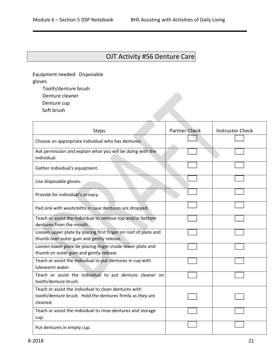# OJT Activity #56 Denture Care

A

Equipment needed: Disposable gloves

- Tooth/denture brush
- Denture cleaner
- Denture cup
- Soft brush

| <b>Steps</b>                                                                                                       | <b>Partner Check</b> | <b>Instructor Check</b> |
|--------------------------------------------------------------------------------------------------------------------|----------------------|-------------------------|
| Choose an appropriate individual who has dentures.                                                                 |                      |                         |
| Ask permission and explain what you will be doing with the<br>individual.                                          |                      |                         |
| Gather individual's equipment.                                                                                     |                      |                         |
| Use disposable gloves.                                                                                             |                      |                         |
| Provide for individual's privacy.                                                                                  |                      |                         |
| Pad sink with washcloths in case dentures are dropped.                                                             |                      |                         |
| Teach or assist the individual to remove top and/or bottom<br>dentures from the mouth.                             |                      |                         |
| Loosen upper plate by placing first finger on roof of plate and<br>thumb over outer gum and gently release.        |                      |                         |
| Loosen lower plate be placing finger inside lower plate and<br>thumb on outer gum and gently release.              |                      |                         |
| Teach or assist the individual to put dentures in cup with<br>lukewarm water.                                      |                      |                         |
| Teach or assist the individual to put denture cleaner on<br>tooth/denture brush.                                   |                      |                         |
| Teach or assist the individual to clean dentures with<br>tooth/denture brush. Hold the dentures firmly as they are |                      |                         |
| cleaned.                                                                                                           |                      |                         |
| Teach or assist the individual to rinse dentures and storage<br>cup.                                               |                      |                         |
| Put dentures in empty cup.                                                                                         |                      |                         |